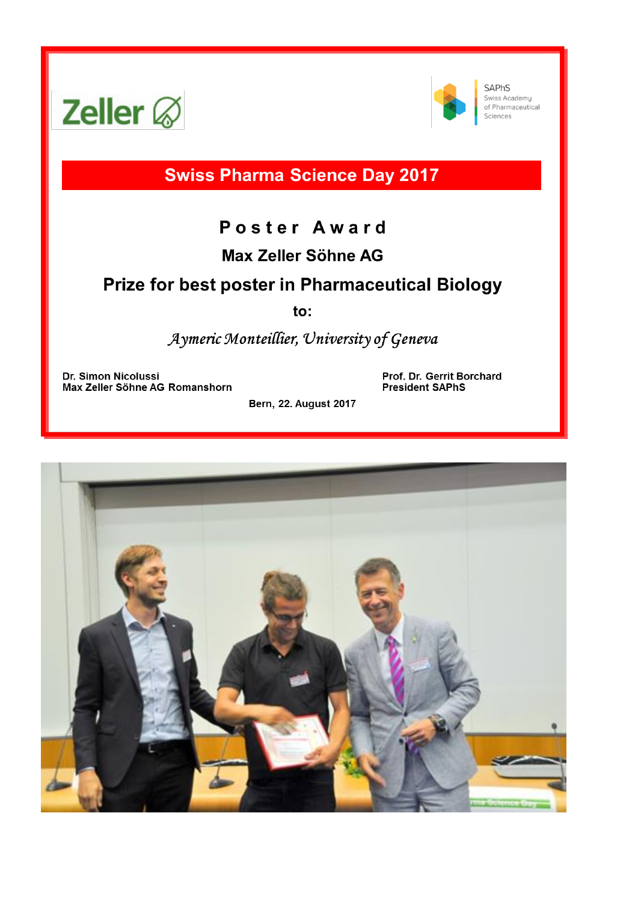



SAPhS Swiss Academy of Pharmaceutical Sciences

**Swiss Pharma Science Day 2017** 

# Poster Award

# Max Zeller Söhne AG

# **Prize for best poster in Pharmaceutical Biology**

to:

Aymeric Monteillier, University of Geneva

Dr. Simon Nicolussi Max Zeller Söhne AG Romanshorn Prof. Dr. Gerrit Borchard **President SAPhS** 

Bern, 22. August 2017